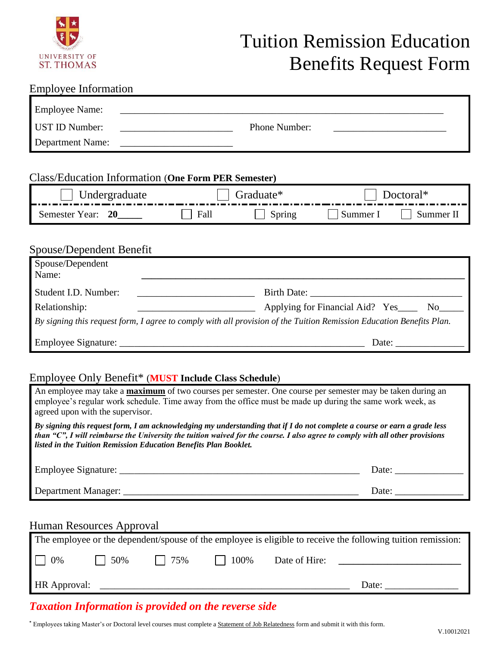

# Tuition Remission Education Benefits Request Form

### Employee Information

| <b>Employee Name:</b> |               |
|-----------------------|---------------|
| <b>UST ID Number:</b> | Phone Number: |
| Department Name:      |               |

### Class/Education Information (**One Form PER Semester)**

| $_{\text{Ha}$ |  | ner |  |
|---------------|--|-----|--|

# Spouse/Dependent Benefit

| Spouse/Dependent<br>Name: |                                                                                                                                                                                                                                                                   |
|---------------------------|-------------------------------------------------------------------------------------------------------------------------------------------------------------------------------------------------------------------------------------------------------------------|
| Student I.D. Number:      |                                                                                                                                                                                                                                                                   |
| Relationship:             | Applying for Financial Aid? Yes<br>No results and the New York of the New York of the New York of the New York of the New York of the New York of the New York of the New York of the New York of the New York of the New York of the New York of the New York of |
|                           | By signing this request form, I agree to comply with all provision of the Tuition Remission Education Benefits Plan.                                                                                                                                              |
|                           | Date:                                                                                                                                                                                                                                                             |

### Employee Only Benefit\* (**MUST Include Class Schedule**)

| An employee may take a <b>maximum</b> of two courses per semester. One course per semester may be taken during an<br>employee's regular work schedule. Time away from the office must be made up during the same work week, as<br>agreed upon with the supervisor.                                                                 |                       |  |  |
|------------------------------------------------------------------------------------------------------------------------------------------------------------------------------------------------------------------------------------------------------------------------------------------------------------------------------------|-----------------------|--|--|
| By signing this request form, I am acknowledging my understanding that if I do not complete a course or earn a grade less<br>than " $C$ ", I will reimburse the University the tuition waived for the course. I also agree to comply with all other provisions<br>listed in the Tuition Remission Education Benefits Plan Booklet. |                       |  |  |
|                                                                                                                                                                                                                                                                                                                                    | Date: $\qquad \qquad$ |  |  |
|                                                                                                                                                                                                                                                                                                                                    | Date: $\frac{ }{ }$   |  |  |
| Human Resources Approval                                                                                                                                                                                                                                                                                                           |                       |  |  |

| The employee or the dependent/spouse of the employee is eligible to receive the following tuition remission: |      |             |      |               |       |  |  |  |
|--------------------------------------------------------------------------------------------------------------|------|-------------|------|---------------|-------|--|--|--|
| $\Box$ 0%                                                                                                    | 150% | $1 \t 75\%$ | 100% | Date of Hire: |       |  |  |  |
| HR Approval:                                                                                                 |      |             |      |               | Date: |  |  |  |

## *Taxation Information is provided on the reverse side*

**\*** Employees taking Master's or Doctoral level courses must complete a Statement of Job Relatedness form and submit it with this form.